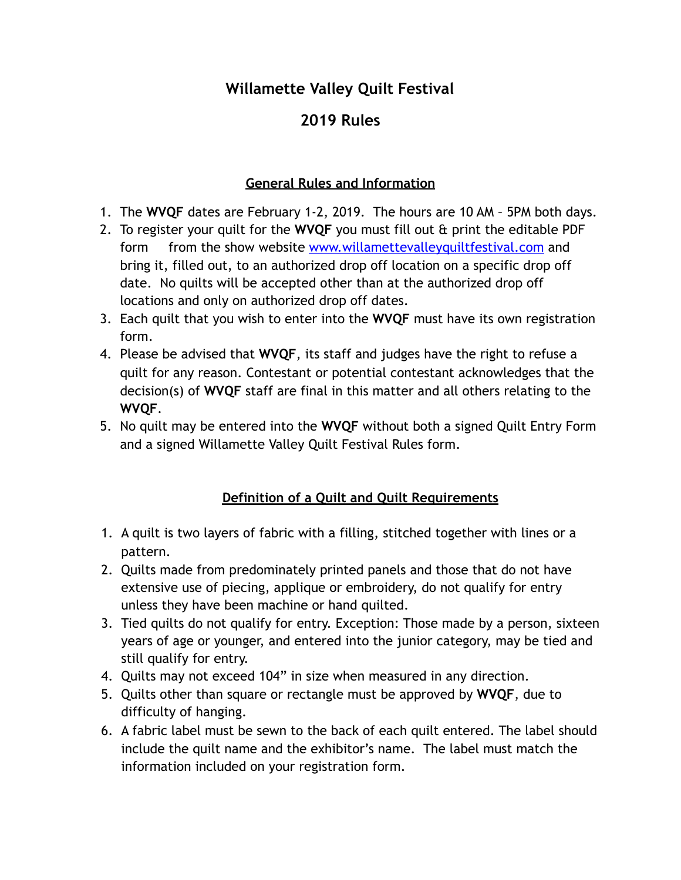## **Willamette Valley Quilt Festival**

# **2019 Rules**

## **General Rules and Information**

- 1. The **WVQF** dates are February 1-2, 2019. The hours are 10 AM 5PM both days.
- 2. To register your quilt for the **WVQF** you must fill out & print the editable PDF form from the show website [www.willamettevalleyquiltfestival.com](http://www.willamettevalleyquiltfestival.com) and bring it, filled out, to an authorized drop off location on a specific drop off date. No quilts will be accepted other than at the authorized drop off locations and only on authorized drop off dates.
- 3. Each quilt that you wish to enter into the **WVQF** must have its own registration form.
- 4. Please be advised that **WVQF**, its staff and judges have the right to refuse a quilt for any reason. Contestant or potential contestant acknowledges that the decision(s) of **WVQF** staff are final in this matter and all others relating to the **WVQF**.
- 5. No quilt may be entered into the **WVQF** without both a signed Quilt Entry Form and a signed Willamette Valley Quilt Festival Rules form.

## **Definition of a Quilt and Quilt Requirements**

- 1. A quilt is two layers of fabric with a filling, stitched together with lines or a pattern.
- 2. Quilts made from predominately printed panels and those that do not have extensive use of piecing, applique or embroidery, do not qualify for entry unless they have been machine or hand quilted.
- 3. Tied quilts do not qualify for entry. Exception: Those made by a person, sixteen years of age or younger, and entered into the junior category, may be tied and still qualify for entry.
- 4. Quilts may not exceed 104" in size when measured in any direction.
- 5. Quilts other than square or rectangle must be approved by **WVQF**, due to difficulty of hanging.
- 6. A fabric label must be sewn to the back of each quilt entered. The label should include the quilt name and the exhibitor's name. The label must match the information included on your registration form.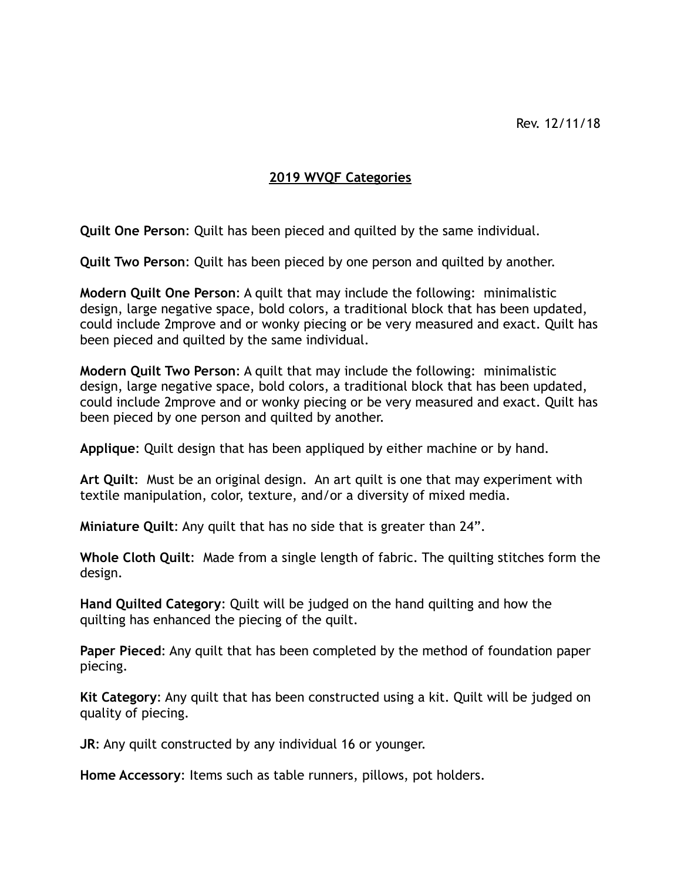#### **2019 WVQF Categories**

**Quilt One Person**: Quilt has been pieced and quilted by the same individual.

**Quilt Two Person**: Quilt has been pieced by one person and quilted by another.

**Modern Quilt One Person**: A quilt that may include the following: minimalistic design, large negative space, bold colors, a traditional block that has been updated, could include 2mprove and or wonky piecing or be very measured and exact. Quilt has been pieced and quilted by the same individual.

**Modern Quilt Two Person**: A quilt that may include the following: minimalistic design, large negative space, bold colors, a traditional block that has been updated, could include 2mprove and or wonky piecing or be very measured and exact. Quilt has been pieced by one person and quilted by another.

**Applique**: Quilt design that has been appliqued by either machine or by hand.

**Art Quilt**: Must be an original design. An art quilt is one that may experiment with textile manipulation, color, texture, and/or a diversity of mixed media.

**Miniature Quilt**: Any quilt that has no side that is greater than 24".

**Whole Cloth Quilt**: Made from a single length of fabric. The quilting stitches form the design.

**Hand Quilted Category**: Quilt will be judged on the hand quilting and how the quilting has enhanced the piecing of the quilt.

**Paper Pieced**: Any quilt that has been completed by the method of foundation paper piecing.

**Kit Category**: Any quilt that has been constructed using a kit. Quilt will be judged on quality of piecing.

**JR**: Any quilt constructed by any individual 16 or younger.

**Home Accessory**: Items such as table runners, pillows, pot holders.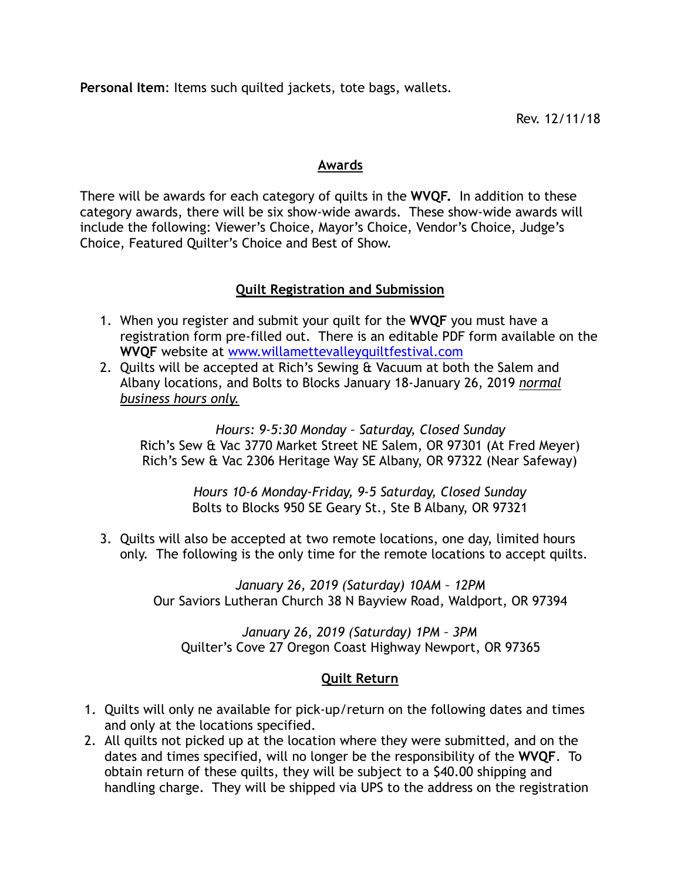**Personal Item**: Items such quilted jackets, tote bags, wallets.

Rev. 12/11/18

#### **Awards**

There will be awards for each category of quilts in the **WVQF.** In addition to these category awards, there will be six show-wide awards. These show-wide awards will include the following: Viewer's Choice, Mayor's Choice, Vendor's Choice, Judge's Choice, Featured Quilter's Choice and Best of Show.

#### **Quilt Registration and Submission**

- 1. When you register and submit your quilt for the **WVQF** you must have a registration form pre-filled out. There is an editable PDF form available on the **WVQF** website at [www.willamettevalleyquiltfestival.com](http://www.willamettevalleyquiltfestival.com)
- 2. Quilts will be accepted at Rich's Sewing & Vacuum at both the Salem and Albany locations, and Bolts to Blocks January 18-January 26, 2019 *normal business hours only.*

*Hours: 9-5:30 Monday – Saturday, Closed Sunday* Rich's Sew & Vac 3770 Market Street NE Salem, OR 97301 (At Fred Meyer) Rich's Sew & Vac 2306 Heritage Way SE Albany, OR 97322 (Near Safeway)

> *Hours 10-6 Monday-Friday, 9-5 Saturday, Closed Sunday*  Bolts to Blocks 950 SE Geary St., Ste B Albany, OR 97321

3. Quilts will also be accepted at two remote locations, one day, limited hours only. The following is the only time for the remote locations to accept quilts.

> *January 26, 2019 (Saturday) 10AM – 12PM*  Our Saviors Lutheran Church 38 N Bayview Road, Waldport, OR 97394

*January 26, 2019 (Saturday) 1PM – 3PM*  Quilter's Cove 27 Oregon Coast Highway Newport, OR 97365

#### **Quilt Return**

- 1. Quilts will only ne available for pick-up/return on the following dates and times and only at the locations specified.
- 2. All quilts not picked up at the location where they were submitted, and on the dates and times specified, will no longer be the responsibility of the **WVQF**. To obtain return of these quilts, they will be subject to a \$40.00 shipping and handling charge. They will be shipped via UPS to the address on the registration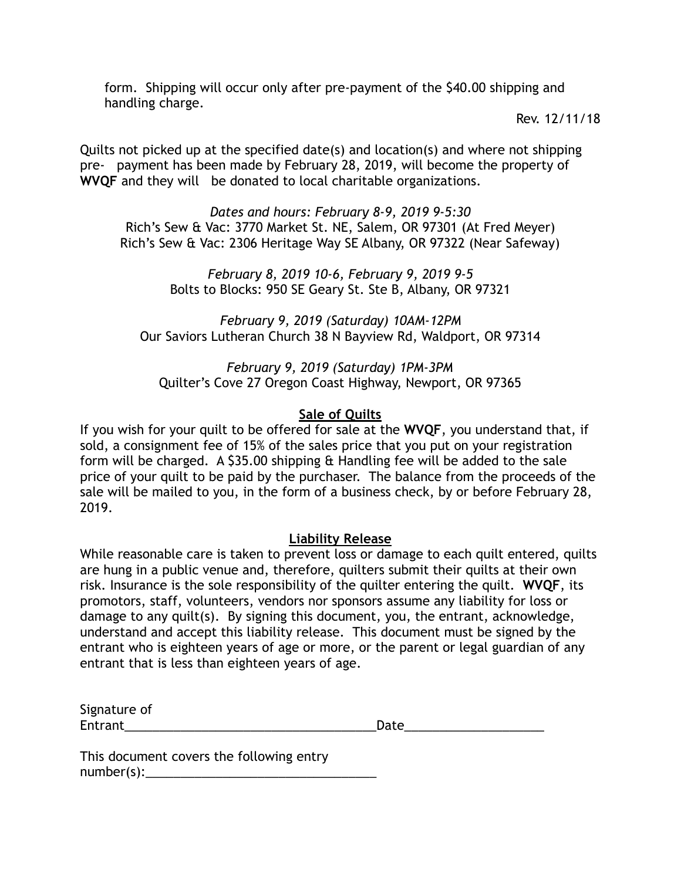form. Shipping will occur only after pre-payment of the \$40.00 shipping and handling charge.

Rev. 12/11/18

Quilts not picked up at the specified date(s) and location(s) and where not shipping pre- payment has been made by February 28, 2019, will become the property of **WVQF** and they will be donated to local charitable organizations.

*Dates and hours: February 8-9, 2019 9-5:30*  Rich's Sew & Vac: 3770 Market St. NE, Salem, OR 97301 (At Fred Meyer) Rich's Sew & Vac: 2306 Heritage Way SE Albany, OR 97322 (Near Safeway)

> *February 8, 2019 10-6, February 9, 2019 9-5*  Bolts to Blocks: 950 SE Geary St. Ste B, Albany, OR 97321

*February 9, 2019 (Saturday) 10AM-12PM*  Our Saviors Lutheran Church 38 N Bayview Rd, Waldport, OR 97314

*February 9, 2019 (Saturday) 1PM-3PM*  Quilter's Cove 27 Oregon Coast Highway, Newport, OR 97365

#### **Sale of Quilts**

If you wish for your quilt to be offered for sale at the **WVQF**, you understand that, if sold, a consignment fee of 15% of the sales price that you put on your registration form will be charged. A \$35.00 shipping & Handling fee will be added to the sale price of your quilt to be paid by the purchaser. The balance from the proceeds of the sale will be mailed to you, in the form of a business check, by or before February 28, 2019.

#### **Liability Release**

While reasonable care is taken to prevent loss or damage to each quilt entered, quilts are hung in a public venue and, therefore, quilters submit their quilts at their own risk. Insurance is the sole responsibility of the quilter entering the quilt. **WVQF**, its promotors, staff, volunteers, vendors nor sponsors assume any liability for loss or damage to any quilt(s). By signing this document, you, the entrant, acknowledge, understand and accept this liability release. This document must be signed by the entrant who is eighteen years of age or more, or the parent or legal guardian of any entrant that is less than eighteen years of age.

| Signature of |  |
|--------------|--|
| Entrant      |  |

| <b>Entrant</b> | n.<br>Date |
|----------------|------------|
|                |            |

This document covers the following entry  $number(s):$